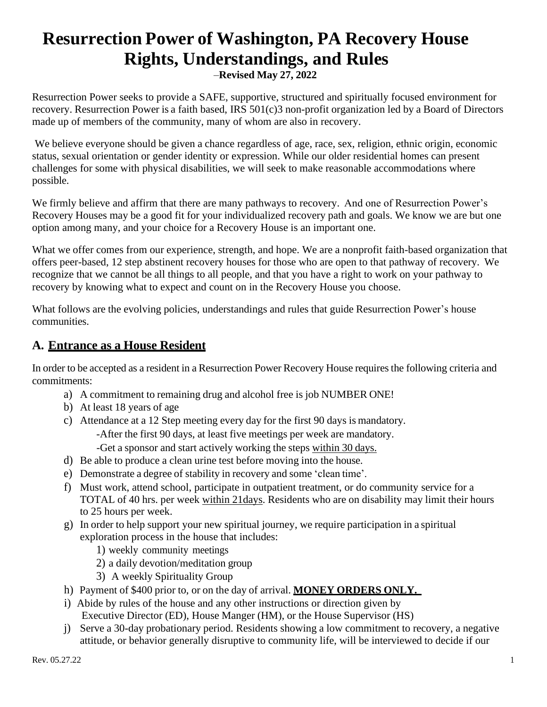# **Resurrection Power of Washington, PA Recovery House Rights, Understandings, and Rules**

–**Revised May 27, 2022**

Resurrection Power seeks to provide a SAFE, supportive, structured and spiritually focused environment for recovery. Resurrection Power is a faith based, IRS 501(c)3 non-profit organization led by a Board of Directors made up of members of the community, many of whom are also in recovery.

We believe everyone should be given a chance regardless of age, race, sex, religion, ethnic origin, economic status, sexual orientation or gender identity or expression. While our older residential homes can present challenges for some with physical disabilities, we will seek to make reasonable accommodations where possible.

We firmly believe and affirm that there are many pathways to recovery. And one of Resurrection Power's Recovery Houses may be a good fit for your individualized recovery path and goals. We know we are but one option among many, and your choice for a Recovery House is an important one.

What we offer comes from our experience, strength, and hope. We are a nonprofit faith-based organization that offers peer-based, 12 step abstinent recovery houses for those who are open to that pathway of recovery. We recognize that we cannot be all things to all people, and that you have a right to work on your pathway to recovery by knowing what to expect and count on in the Recovery House you choose.

What follows are the evolving policies, understandings and rules that guide Resurrection Power's house communities.

### **A. Entrance as a House Resident**

In order to be accepted as a resident in a Resurrection Power Recovery House requires the following criteria and commitments:

- a) A commitment to remaining drug and alcohol free is job NUMBER ONE!
- b) At least 18 years of age
- c) Attendance at a 12 Step meeting every day for the first 90 days is mandatory. -After the first 90 days, at least five meetings per week are mandatory.
	- -Get a sponsor and start actively working the steps within 30 days.
- d) Be able to produce a clean urine test before moving into the house.
- e) Demonstrate a degree of stability in recovery and some 'clean time'.
- f) Must work, attend school, participate in outpatient treatment, or do community service for a TOTAL of 40 hrs. per week within 21days. Residents who are on disability may limit their hours to 25 hours per week.
- g) In order to help support your new spiritual journey, we require participation in a spiritual exploration process in the house that includes:
	- 1) weekly community meetings
	- 2) a daily devotion/meditation group
	- 3) A weekly Spirituality Group
- h) Payment of \$400 prior to, or on the day of arrival. **MONEY ORDERS ONLY.**
- i) Abide by rules of the house and any other instructions or direction given by Executive Director (ED), House Manger (HM), or the House Supervisor (HS)
- j) Serve a 30-day probationary period. Residents showing a low commitment to recovery, a negative attitude, or behavior generally disruptive to community life, will be interviewed to decide if our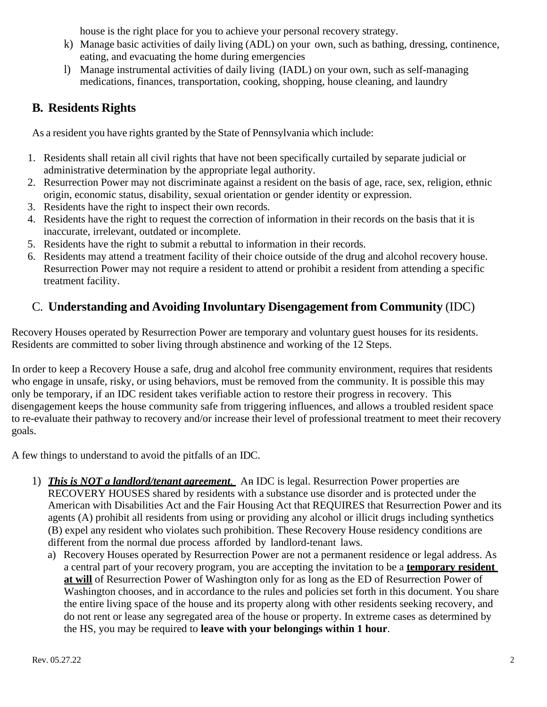house is the right place for you to achieve your personal recovery strategy.

- k) Manage basic activities of daily living (ADL) on your own, such as bathing, dressing, continence, eating, and evacuating the home during emergencies
- l) Manage instrumental activities of daily living (IADL) on your own, such as self-managing medications, finances, transportation, cooking, shopping, house cleaning, and laundry

## **B. Residents Rights**

As a resident you have rights granted by the State of Pennsylvania which include:

- 1. Residents shall retain all civil rights that have not been specifically curtailed by separate judicial or administrative determination by the appropriate legal authority.
- 2. Resurrection Power may not discriminate against a resident on the basis of age, race, sex, religion, ethnic origin, economic status, disability, sexual orientation or gender identity or expression.
- 3. Residents have the right to inspect their own records.
- 4. Residents have the right to request the correction of information in their records on the basis that it is inaccurate, irrelevant, outdated or incomplete.
- 5. Residents have the right to submit a rebuttal to information in their records.
- 6. Residents may attend a treatment facility of their choice outside of the drug and alcohol recovery house. Resurrection Power may not require a resident to attend or prohibit a resident from attending a specific treatment facility.

### C. **Understanding and Avoiding Involuntary Disengagement from Community** (IDC)

Recovery Houses operated by Resurrection Power are temporary and voluntary guest houses for its residents. Residents are committed to sober living through abstinence and working of the 12 Steps.

In order to keep a Recovery House a safe, drug and alcohol free community environment, requires that residents who engage in unsafe, risky, or using behaviors, must be removed from the community. It is possible this may only be temporary, if an IDC resident takes verifiable action to restore their progress in recovery. This disengagement keeps the house community safe from triggering influences, and allows a troubled resident space to re-evaluate their pathway to recovery and/or increase their level of professional treatment to meet their recovery goals.

A few things to understand to avoid the pitfalls of an IDC.

- 1) *This is NOT a landlord/tenant agreement.* An IDC is legal. Resurrection Power properties are RECOVERY HOUSES shared by residents with a substance use disorder and is protected under the American with Disabilities Act and the Fair Housing Act that REQUIRES that Resurrection Power and its agents (A) prohibit all residents from using or providing any alcohol or illicit drugs including synthetics (B) expel any resident who violates such prohibition. These Recovery House residency conditions are different from the normal due process afforded by landlord-tenant laws.
	- a) Recovery Houses operated by Resurrection Power are not a permanent residence or legal address. As a central part of your recovery program, you are accepting the invitation to be a **temporary resident at will** of Resurrection Power of Washington only for as long as the ED of Resurrection Power of Washington chooses, and in accordance to the rules and policies set forth in this document. You share the entire living space of the house and its property along with other residents seeking recovery, and do not rent or lease any segregated area of the house or property. In extreme cases as determined by the HS, you may be required to **leave with your belongings within 1 hour**.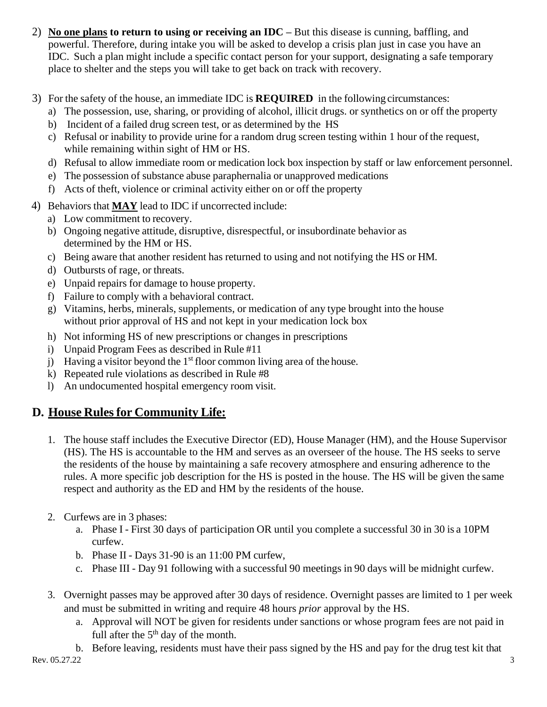- 2) **No one plans to return to using or receiving an IDC –** But this disease is cunning, baffling, and powerful. Therefore, during intake you will be asked to develop a crisis plan just in case you have an IDC. Such a plan might include a specific contact person for your support, designating a safe temporary place to shelter and the steps you will take to get back on track with recovery.
- 3) For the safety of the house, an immediate IDC is **REQUIRED** in the following circumstances:
	- a) The possession, use, sharing, or providing of alcohol, illicit drugs. or synthetics on or off the property
	- b) Incident of a failed drug screen test, or as determined by the HS
	- c) Refusal or inability to provide urine for a random drug screen testing within 1 hour of the request, while remaining within sight of HM or HS.
	- d) Refusal to allow immediate room or medication lock box inspection by staff or law enforcement personnel.
	- e) The possession of substance abuse paraphernalia or unapproved medications
	- f) Acts of theft, violence or criminal activity either on or off the property
- 4) Behaviors that **MAY** lead to IDC if uncorrected include:
	- a) Low commitment to recovery.
	- b) Ongoing negative attitude, disruptive, disrespectful, or insubordinate behavior as determined by the HM or HS.
	- c) Being aware that another resident has returned to using and not notifying the HS or HM.
	- d) Outbursts of rage, or threats.
	- e) Unpaid repairs for damage to house property.
	- f) Failure to comply with a behavioral contract.
	- g) Vitamins, herbs, minerals, supplements, or medication of any type brought into the house without prior approval of HS and not kept in your medication lock box
	- h) Not informing HS of new prescriptions or changes in prescriptions
	- i) Unpaid Program Fees as described in Rule #11
	- j) Having a visitor beyond the  $1<sup>st</sup>$  floor common living area of the house.
	- k) Repeated rule violations as described in Rule #8
	- l) An undocumented hospital emergency room visit.

## **D. House Rulesfor Community Life:**

- 1. The house staff includes the Executive Director (ED), House Manager (HM), and the House Supervisor (HS). The HS is accountable to the HM and serves as an overseer of the house. The HS seeks to serve the residents of the house by maintaining a safe recovery atmosphere and ensuring adherence to the rules. A more specific job description for the HS is posted in the house. The HS will be given the same respect and authority as the ED and HM by the residents of the house.
- 2. Curfews are in 3 phases:
	- a. Phase I First 30 days of participation OR until you complete a successful 30 in 30 is a 10PM curfew.
	- b. Phase II Days 31-90 is an 11:00 PM curfew,
	- c. Phase III Day 91 following with a successful 90 meetings in 90 days will be midnight curfew.
- 3. Overnight passes may be approved after 30 days of residence. Overnight passes are limited to 1 per week and must be submitted in writing and require 48 hours *prior* approval by the HS.
	- a. Approval will NOT be given for residents under sanctions or whose program fees are not paid in full after the  $5<sup>th</sup>$  day of the month.
	- b. Before leaving, residents must have their pass signed by the HS and pay for the drug test kit that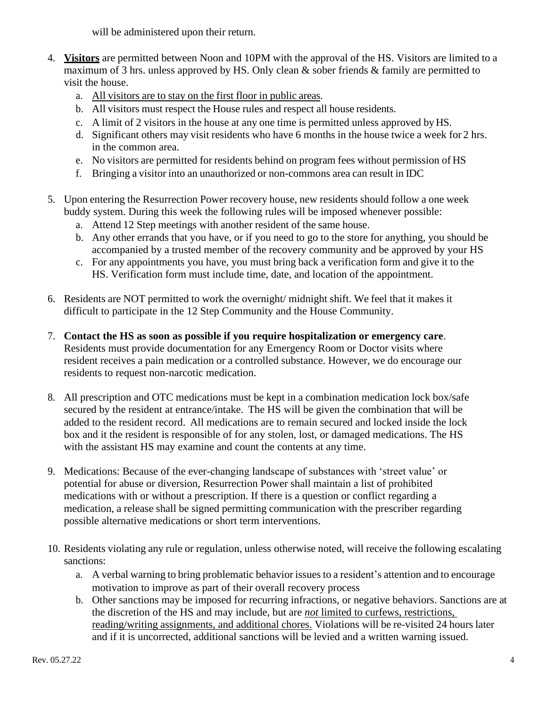will be administered upon their return.

- 4. **Visitors** are permitted between Noon and 10PM with the approval of the HS. Visitors are limited to a maximum of 3 hrs. unless approved by HS. Only clean & sober friends & family are permitted to visit the house.
	- a. All visitors are to stay on the first floor in public areas.
	- b. All visitors must respect the House rules and respect all house residents.
	- c. A limit of 2 visitors in the house at any one time is permitted unless approved byHS.
	- d. Significant others may visit residents who have 6 months in the house twice a week for 2 hrs. in the common area.
	- e. No visitors are permitted for residents behind on program fees without permission of HS
	- f. Bringing a visitor into an unauthorized or non-commons area can result in IDC
- 5. Upon entering the Resurrection Power recovery house, new residents should follow a one week buddy system. During this week the following rules will be imposed whenever possible:
	- a. Attend 12 Step meetings with another resident of the same house.
	- b. Any other errands that you have, or if you need to go to the store for anything, you should be accompanied by a trusted member of the recovery community and be approved by your HS
	- c. For any appointments you have, you must bring back a verification form and give it to the HS. Verification form must include time, date, and location of the appointment.
- 6. Residents are NOT permitted to work the overnight/ midnight shift. We feel that it makes it difficult to participate in the 12 Step Community and the House Community.
- 7. **Contact the HS as soon as possible if you require hospitalization or emergency care**. Residents must provide documentation for any Emergency Room or Doctor visits where resident receives a pain medication or a controlled substance. However, we do encourage our residents to request non-narcotic medication.
- 8. All prescription and OTC medications must be kept in a combination medication lock box/safe secured by the resident at entrance/intake. The HS will be given the combination that will be added to the resident record. All medications are to remain secured and locked inside the lock box and it the resident is responsible of for any stolen, lost, or damaged medications. The HS with the assistant HS may examine and count the contents at any time.
- 9. Medications: Because of the ever-changing landscape of substances with 'street value' or potential for abuse or diversion, Resurrection Power shall maintain a list of prohibited medications with or without a prescription. If there is a question or conflict regarding a medication, a release shall be signed permitting communication with the prescriber regarding possible alternative medications or short term interventions.
- 10. Residents violating any rule or regulation, unless otherwise noted, will receive the following escalating sanctions:
	- a. A verbal warning to bring problematic behavior issues to a resident's attention and to encourage motivation to improve as part of their overall recovery process
	- b. Other sanctions may be imposed for recurring infractions, or negative behaviors. Sanctions are at the discretion of the HS and may include, but are *not* limited to curfews, restrictions, reading/writing assignments, and additional chores. Violations will be re-visited 24 hours later and if it is uncorrected, additional sanctions will be levied and a written warning issued.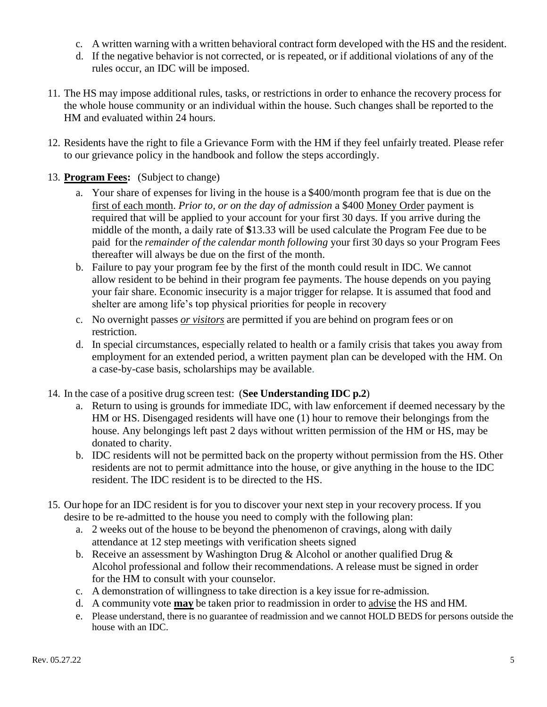- c. A written warning with a written behavioral contract form developed with the HS and the resident.
- d. If the negative behavior is not corrected, or is repeated, or if additional violations of any of the rules occur, an IDC will be imposed.
- 11. The HS may impose additional rules, tasks, or restrictions in order to enhance the recovery process for the whole house community or an individual within the house. Such changes shall be reported to the HM and evaluated within 24 hours.
- 12. Residents have the right to file a Grievance Form with the HM if they feel unfairly treated. Please refer to our grievance policy in the handbook and follow the steps accordingly.
- 13. **Program Fees:** (Subject to change)
	- a. Your share of expenses for living in the house is a \$400/month program fee that is due on the first of each month. *Prior to, or on the day of admission* a \$400 Money Order payment is required that will be applied to your account for your first 30 days. If you arrive during the middle of the month, a daily rate of **\$**13.33 will be used calculate the Program Fee due to be paid for the *remainder of the calendar month following* your first 30 days so your Program Fees thereafter will always be due on the first of the month.
	- b. Failure to pay your program fee by the first of the month could result in IDC. We cannot allow resident to be behind in their program fee payments. The house depends on you paying your fair share. Economic insecurity is a major trigger for relapse. It is assumed that food and shelter are among life's top physical priorities for people in recovery
	- c. No overnight passes *or visitors* are permitted if you are behind on program fees or on restriction.
	- d. In special circumstances, especially related to health or a family crisis that takes you away from employment for an extended period, a written payment plan can be developed with the HM. On a case-by-case basis, scholarships may be available.
- 14. In the case of a positive drug screen test: (**See Understanding IDC p.2**)
	- a. Return to using is grounds for immediate IDC, with law enforcement if deemed necessary by the HM or HS. Disengaged residents will have one (1) hour to remove their belongings from the house. Any belongings left past 2 days without written permission of the HM or HS, may be donated to charity.
	- b. IDC residents will not be permitted back on the property without permission from the HS. Other residents are not to permit admittance into the house, or give anything in the house to the IDC resident. The IDC resident is to be directed to the HS.
- 15. Our hope for an IDC resident is for you to discover your next step in your recovery process. If you desire to be re-admitted to the house you need to comply with the following plan:
	- a. 2 weeks out of the house to be beyond the phenomenon of cravings, along with daily attendance at 12 step meetings with verification sheets signed
	- b. Receive an assessment by Washington Drug & Alcohol or another qualified Drug & Alcohol professional and follow their recommendations. A release must be signed in order for the HM to consult with your counselor.
	- c. A demonstration of willingness to take direction is a key issue for re-admission.
	- d. A community vote **may** be taken prior to readmission in order to advise the HS and HM.
	- e. Please understand, there is no guarantee of readmission and we cannot HOLD BEDS for persons outside the house with an IDC.